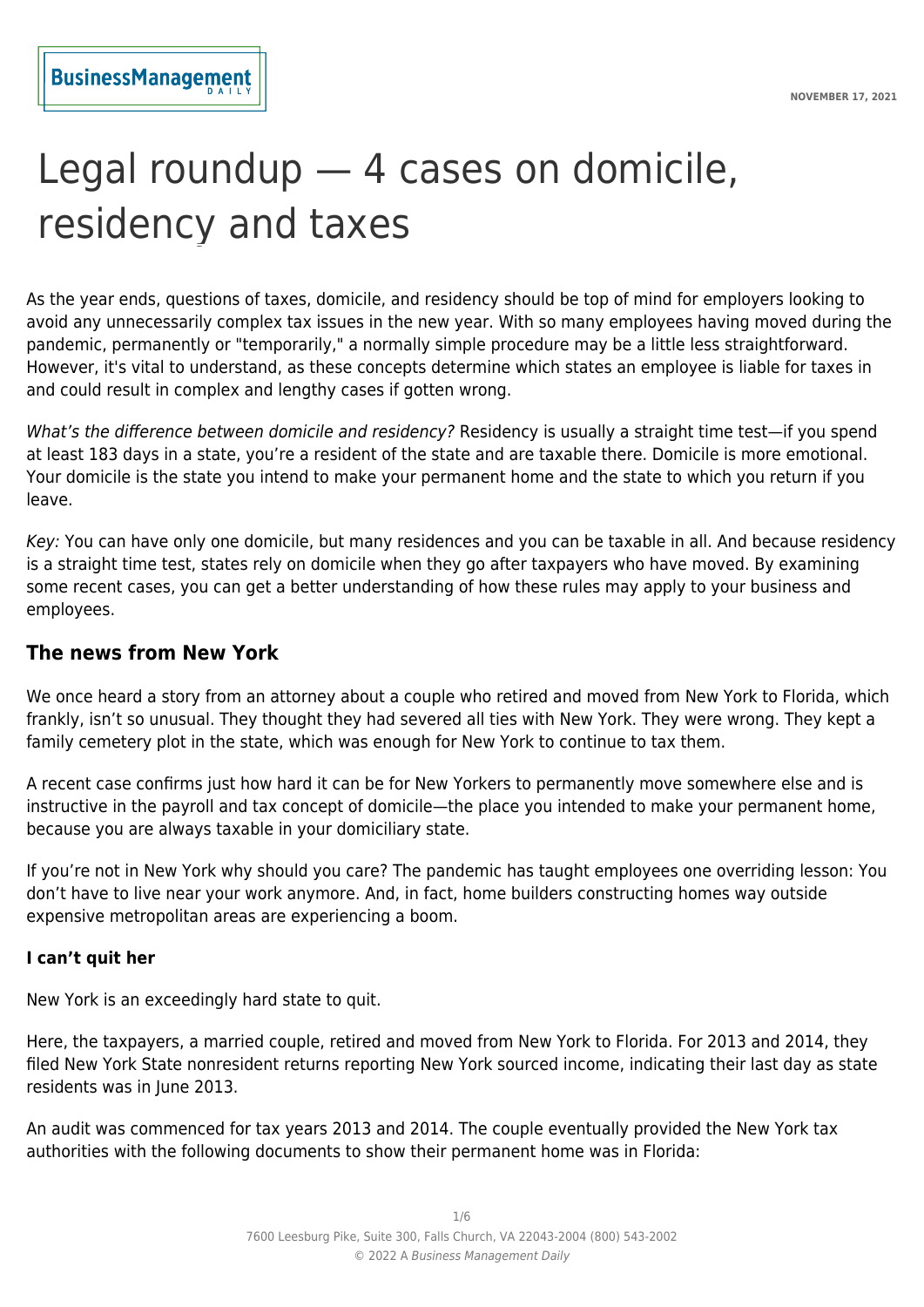# Legal roundup — 4 cases on domicile, residency and taxes

As the year ends, questions of taxes, domicile, and residency should be top of mind for employers looking to avoid any unnecessarily complex tax issues in the new year. With so many employees having moved during the pandemic, permanently or "temporarily," a normally simple procedure may be a little less straightforward. However, it's vital to understand, as these concepts determine which states an employee is liable for taxes in and could result in complex and lengthy cases if gotten wrong.

What's the difference between domicile and residency? Residency is usually a straight time test—if you spend at least 183 days in a state, you're a resident of the state and are taxable there. Domicile is more emotional. Your domicile is the state you intend to make your permanent home and the state to which you return if you leave.

Key: You can have only one domicile, but many residences and you can be taxable in all. And because residency is a straight time test, states rely on domicile when they go after taxpayers who have moved. By examining some recent cases, you can get a better understanding of how these rules may apply to your business and employees.

## **The news from New York**

We once heard a story from an attorney about a couple who retired and moved from New York to Florida, which frankly, isn't so unusual. They thought they had severed all ties with New York. They were wrong. They kept a family cemetery plot in the state, which was enough for New York to continue to tax them.

A recent case confirms just how hard it can be for New Yorkers to permanently move somewhere else and is instructive in the payroll and tax concept of domicile—the place you intended to make your permanent home, because you are always taxable in your domiciliary state.

If you're not in New York why should you care? The pandemic has taught employees one overriding lesson: You don't have to live near your work anymore. And, in fact, home builders constructing homes way outside expensive metropolitan areas are experiencing a boom.

#### **I can't quit her**

New York is an exceedingly hard state to quit.

Here, the taxpayers, a married couple, retired and moved from New York to Florida. For 2013 and 2014, they filed New York State nonresident returns reporting New York sourced income, indicating their last day as state residents was in June 2013.

An audit was commenced for tax years 2013 and 2014. The couple eventually provided the New York tax authorities with the following documents to show their permanent home was in Florida: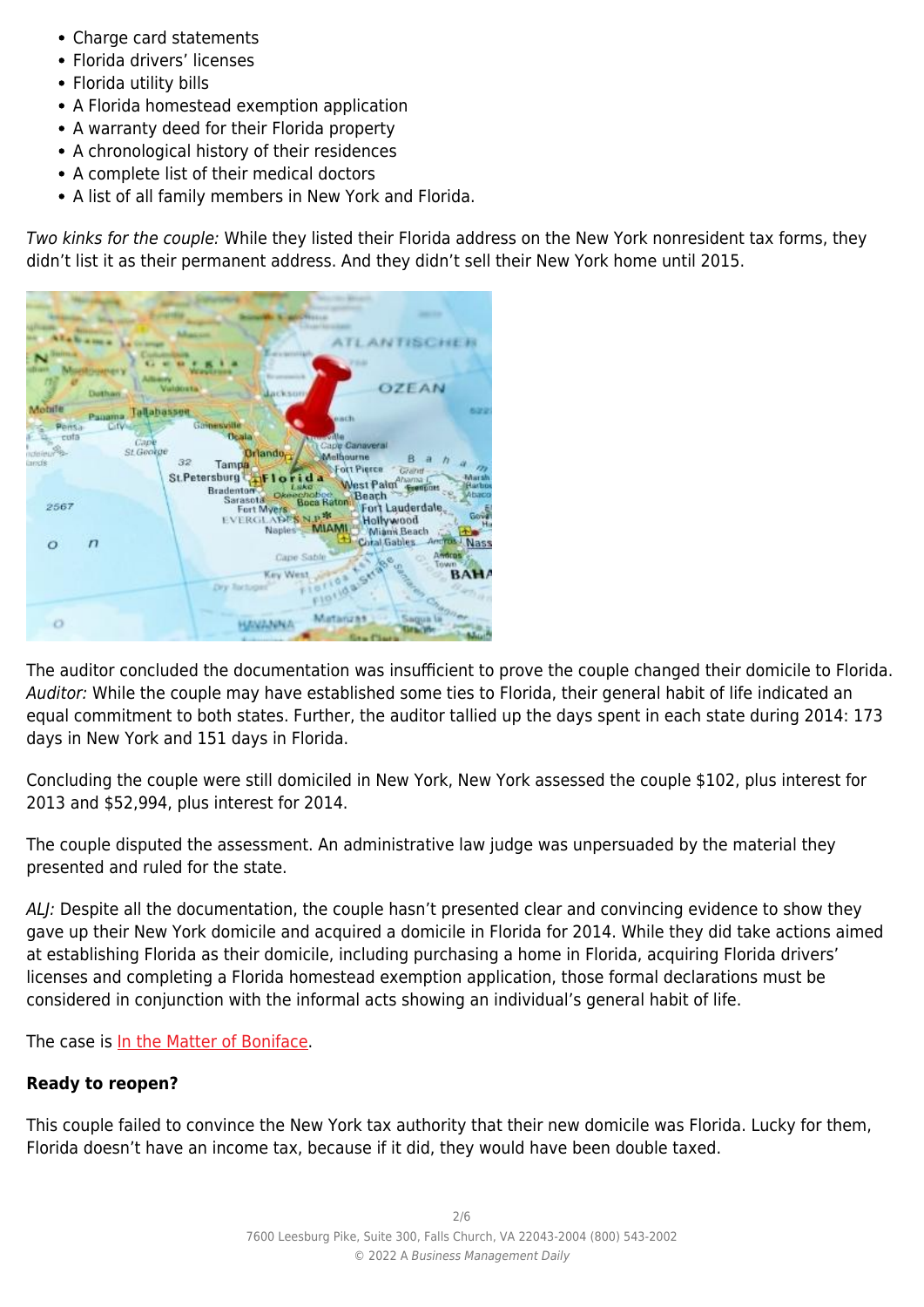- Charge card statements
- Florida drivers' licenses
- Florida utility bills
- A Florida homestead exemption application
- A warranty deed for their Florida property
- A chronological history of their residences
- A complete list of their medical doctors
- A list of all family members in New York and Florida.

Two kinks for the couple: While they listed their Florida address on the New York nonresident tax forms, they didn't list it as their permanent address. And they didn't sell their New York home until 2015.

| -<br>ハハゴハンしけい<br>P Bill                                                           |                                                                                                                                                                                                                                                  |
|-----------------------------------------------------------------------------------|--------------------------------------------------------------------------------------------------------------------------------------------------------------------------------------------------------------------------------------------------|
| Duthan                                                                            | OZEAN<br><b><i><u>Customers</u></i></b>                                                                                                                                                                                                          |
| Mobile<br>Tallahassen<br>Panama                                                   | 6.22<br>each                                                                                                                                                                                                                                     |
| Cityle<br>Pensa<br>cuta<br>Cape<br><b>St George</b><br><b>ICERTRALIS</b><br>Linds | Gainesville<br><b>Ucala</b><br><b>True ville</b><br>Cape Canaveral<br><b>Orlando</b><br>Melbourne<br>32<br>Tampa.<br>Fort Pierce<br>Grahif<br>St.Petersburg TiFlorida<br>Ahama L<br>West Paint<br>Harbor<br>Lake<br>Bradenton-<br>Beach<br>Abaco |
| 2567                                                                              | Disechobec<br>Sarasota<br>Fort Lauderdale<br>Fort Myers<br>Gove<br>EVERGLADES N.P.<br>Hollywood<br>Ha<br>Naples MIAMI<br>Mianii Beach<br><b>Line</b>                                                                                             |
| $\circ$<br>n                                                                      | Cotal Gables<br>Antros / Nass<br><b>Amorgs</b><br>Gape Sable<br><b>UNWTH</b><br>Key West<br>BAHA<br>Dry Tactoger                                                                                                                                 |
| o                                                                                 | <b>Matanza</b><br><b><i><u>Saqua</u></i></b><br><b>Graffiers</b>                                                                                                                                                                                 |

The auditor concluded the documentation was insufficient to prove the couple changed their domicile to Florida. Auditor: While the couple may have established some ties to Florida, their general habit of life indicated an equal commitment to both states. Further, the auditor tallied up the days spent in each state during 2014: 173 days in New York and 151 days in Florida.

Concluding the couple were still domiciled in New York, New York assessed the couple \$102, plus interest for 2013 and \$52,994, plus interest for 2014.

The couple disputed the assessment. An administrative law judge was unpersuaded by the material they presented and ruled for the state.

ALJ: Despite all the documentation, the couple hasn't presented clear and convincing evidence to show they gave up their New York domicile and acquired a domicile in Florida for 2014. While they did take actions aimed at establishing Florida as their domicile, including purchasing a home in Florida, acquiring Florida drivers' licenses and completing a Florida homestead exemption application, those formal declarations must be considered in conjunction with the informal acts showing an individual's general habit of life.

The case is [In the Matter of Boniface.](https://www.dta.ny.gov/pdf/determinations/829018.det.pdf)

## **Ready to reopen?**

This couple failed to convince the New York tax authority that their new domicile was Florida. Lucky for them, Florida doesn't have an income tax, because if it did, they would have been double taxed.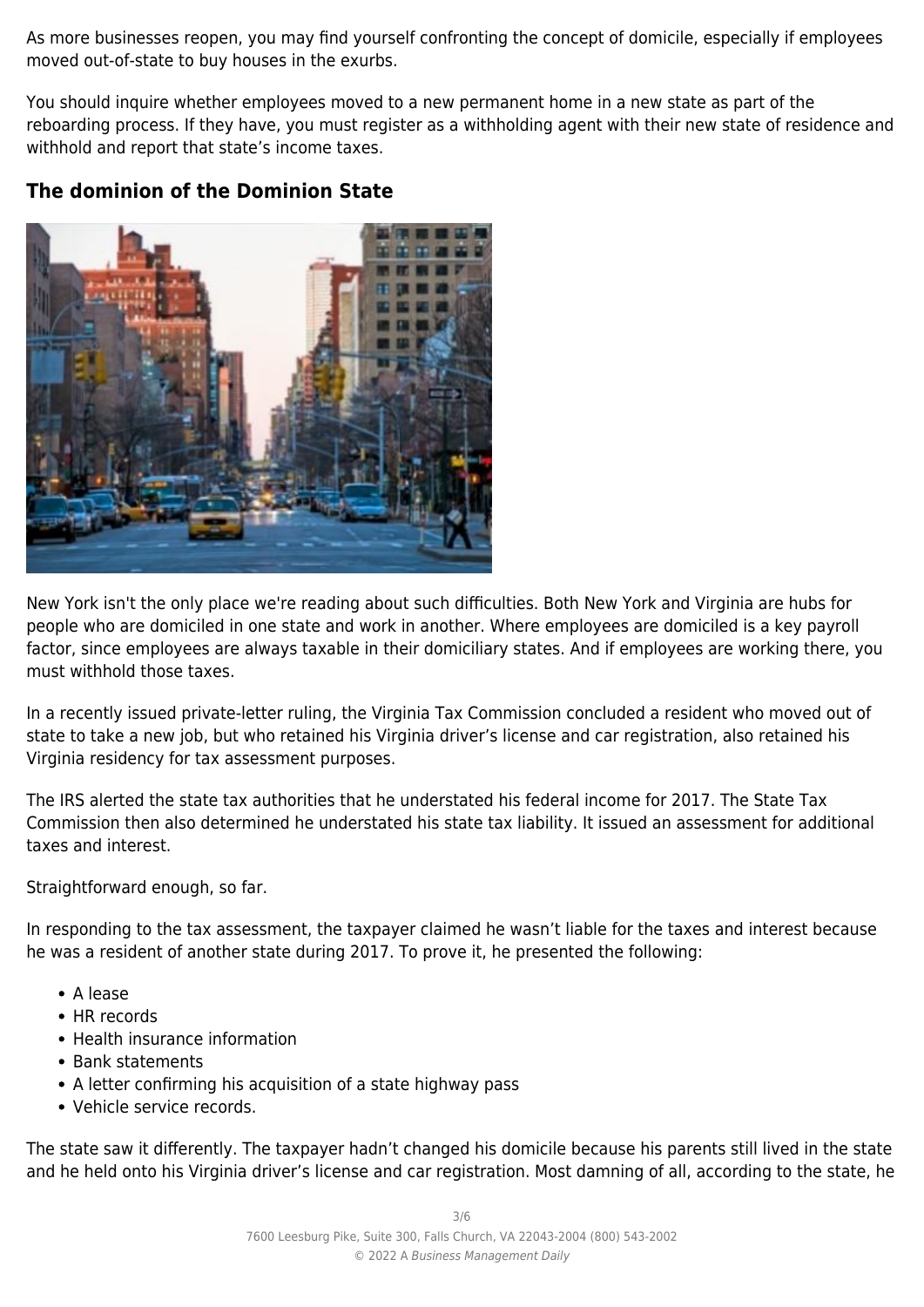As more businesses reopen, you may find yourself confronting the concept of domicile, especially if employees moved out-of-state to buy houses in the exurbs.

You should inquire whether employees moved to a new permanent home in a new state as part of the reboarding process. If they have, you must register as a withholding agent with their new state of residence and withhold and report that state's income taxes.

# **The dominion of the Dominion State**



New York isn't the only place we're reading about such difficulties. Both New York and Virginia are hubs for people who are domiciled in one state and work in another. Where employees are domiciled is a key payroll factor, since employees are always taxable in their domiciliary states. And if employees are working there, you must withhold those taxes.

In a recently issued private-letter ruling, the Virginia Tax Commission concluded a resident who moved out of state to take a new job, but who retained his Virginia driver's license and car registration, also retained his Virginia residency for tax assessment purposes.

The IRS alerted the state tax authorities that he understated his federal income for 2017. The State Tax Commission then also determined he understated his state tax liability. It issued an assessment for additional taxes and interest.

Straightforward enough, so far.

In responding to the tax assessment, the taxpayer claimed he wasn't liable for the taxes and interest because he was a resident of another state during 2017. To prove it, he presented the following:

- A lease
- HR records
- Health insurance information
- Bank statements
- A letter confirming his acquisition of a state highway pass
- Vehicle service records.

The state saw it differently. The taxpayer hadn't changed his domicile because his parents still lived in the state and he held onto his Virginia driver's license and car registration. Most damning of all, according to the state, he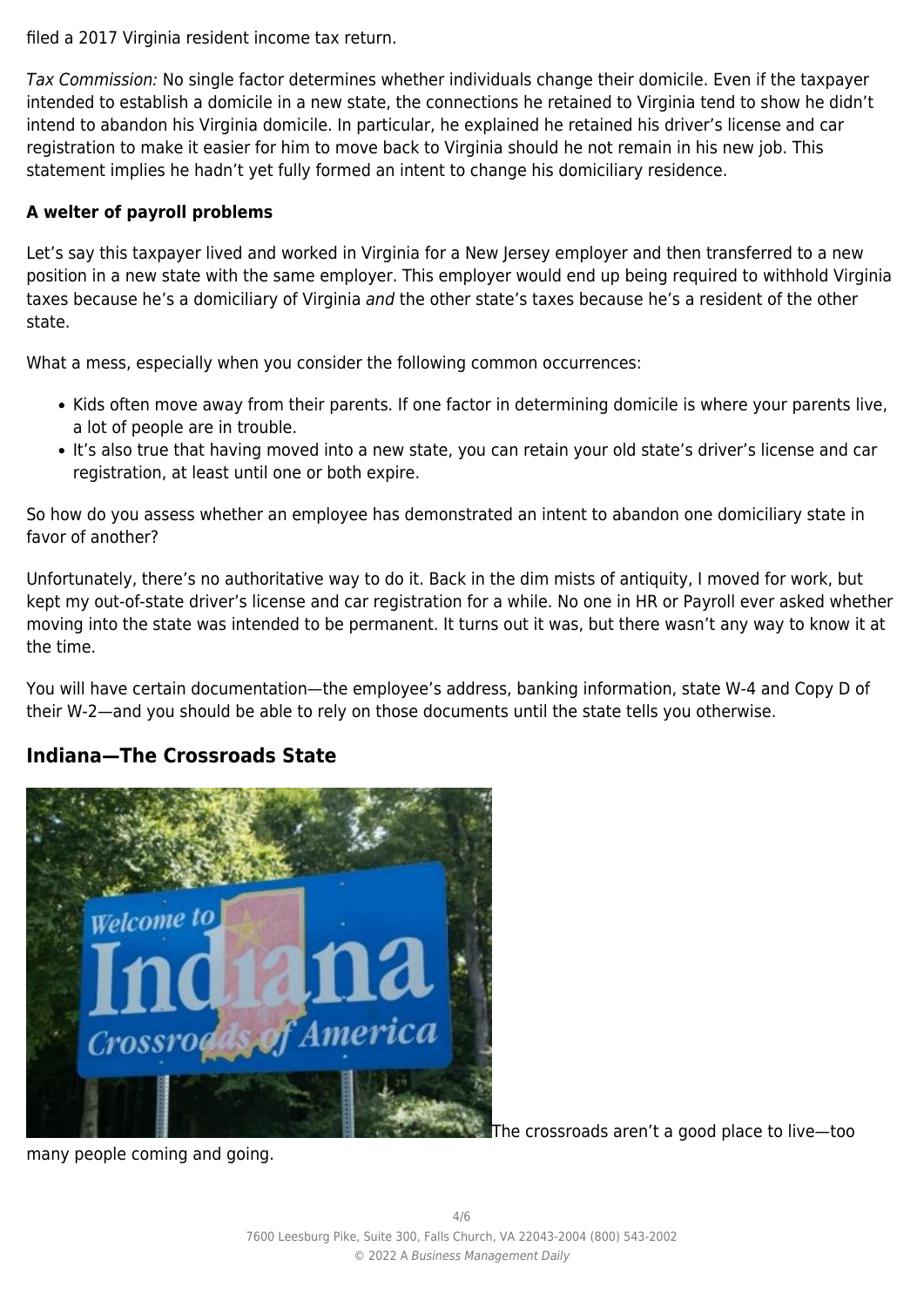filed a 2017 Virginia resident income tax return.

Tax Commission: No single factor determines whether individuals change their domicile. Even if the taxpayer intended to establish a domicile in a new state, the connections he retained to Virginia tend to show he didn't intend to abandon his Virginia domicile. In particular, he explained he retained his driver's license and car registration to make it easier for him to move back to Virginia should he not remain in his new job. This statement implies he hadn't yet fully formed an intent to change his domiciliary residence.

#### **A welter of payroll problems**

Let's say this taxpayer lived and worked in Virginia for a New Jersey employer and then transferred to a new position in a new state with the same employer. This employer would end up being required to withhold Virginia taxes because he's a domiciliary of Virginia and the other state's taxes because he's a resident of the other state.

What a mess, especially when you consider the following common occurrences:

- Kids often move away from their parents. If one factor in determining domicile is where your parents live, a lot of people are in trouble.
- It's also true that having moved into a new state, you can retain your old state's driver's license and car registration, at least until one or both expire.

So how do you assess whether an employee has demonstrated an intent to abandon one domiciliary state in favor of another?

Unfortunately, there's no authoritative way to do it. Back in the dim mists of antiquity, I moved for work, but kept my out-of-state driver's license and car registration for a while. No one in HR or Payroll ever asked whether moving into the state was intended to be permanent. It turns out it was, but there wasn't any way to know it at the time.

You will have certain documentation—the employee's address, banking information, state W-4 and Copy D of their W-2—and you should be able to rely on those documents until the state tells you otherwise.

## **Indiana—The Crossroads State**



The crossroads aren't a good place to live—too

many people coming and going.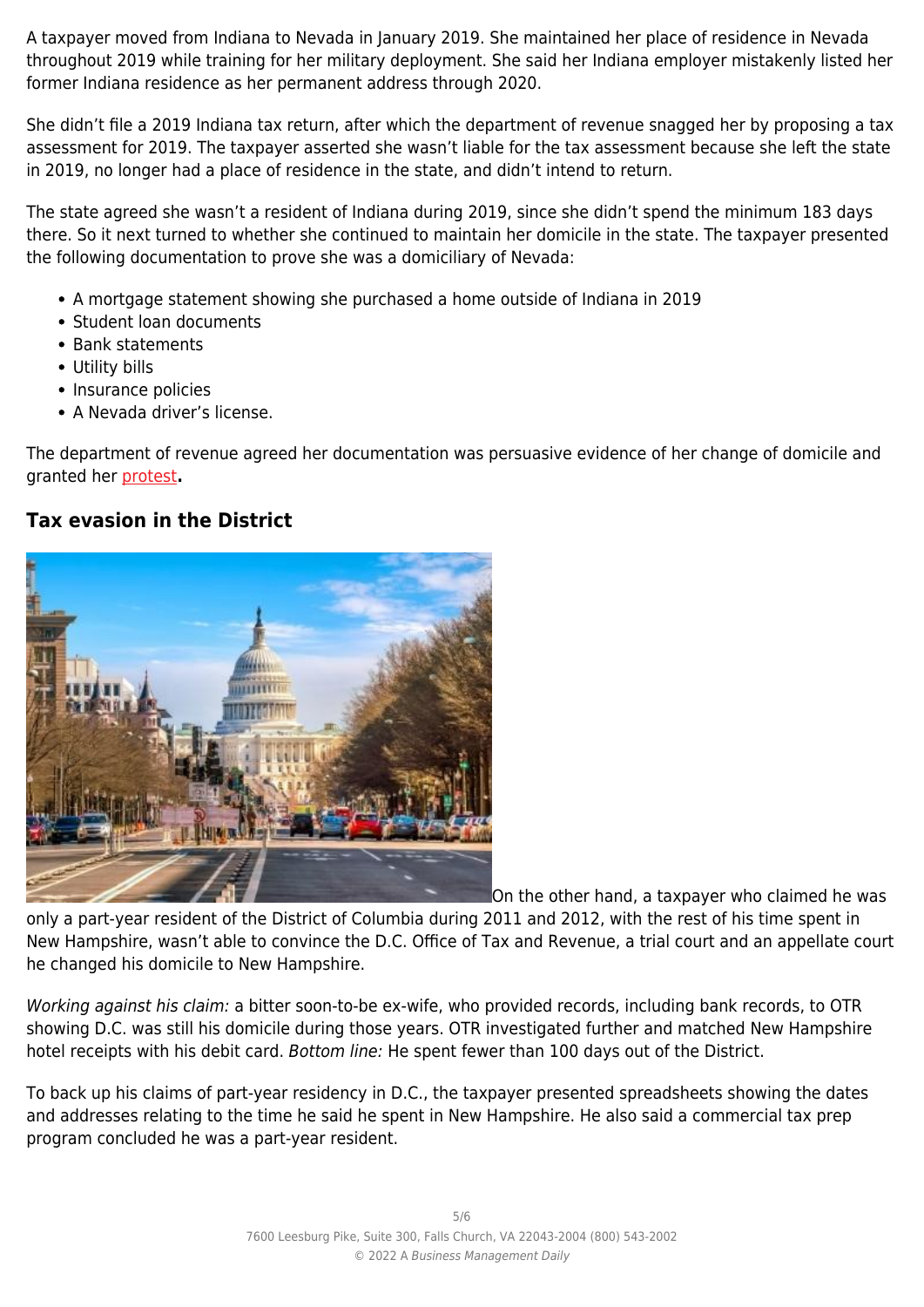A taxpayer moved from Indiana to Nevada in January 2019. She maintained her place of residence in Nevada throughout 2019 while training for her military deployment. She said her Indiana employer mistakenly listed her former Indiana residence as her permanent address through 2020.

She didn't file a 2019 Indiana tax return, after which the department of revenue snagged her by proposing a tax assessment for 2019. The taxpayer asserted she wasn't liable for the tax assessment because she left the state in 2019, no longer had a place of residence in the state, and didn't intend to return.

The state agreed she wasn't a resident of Indiana during 2019, since she didn't spend the minimum 183 days there. So it next turned to whether she continued to maintain her domicile in the state. The taxpayer presented the following documentation to prove she was a domiciliary of Nevada:

- A mortgage statement showing she purchased a home outside of Indiana in 2019
- Student loan documents
- Bank statements
- Utility bills
- Insurance policies
- A Nevada driver's license.

The department of revenue agreed her documentation was persuasive evidence of her change of domicile and granted her [protest](http://iac.iga.in.gov/iac/20210929-IR-045210412NRA.xml.pdf)**.**

## **Tax evasion in the District**



On the other hand, a taxpayer who claimed he was

only a part-year resident of the District of Columbia during 2011 and 2012, with the rest of his time spent in New Hampshire, wasn't able to convince the D.C. Office of Tax and Revenue, a trial court and an appellate court he changed his domicile to New Hampshire.

Working against his claim: a bitter soon-to-be ex-wife, who provided records, including bank records, to OTR showing D.C. was still his domicile during those years. OTR investigated further and matched New Hampshire hotel receipts with his debit card. Bottom line: He spent fewer than 100 days out of the District.

To back up his claims of part-year residency in D.C., the taxpayer presented spreadsheets showing the dates and addresses relating to the time he said he spent in New Hampshire. He also said a commercial tax prep program concluded he was a part-year resident.